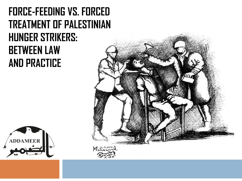### **FORCE-FEEDING VS. FORCED TREATMENT OF PALESTINIAN HUNGER STRIKERS: BETWEEN LAW AND PRACTICE**



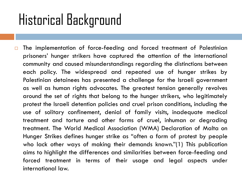## Historical Background

 $\square$  The implementation of force-feeding and forced treatment of Palestinian prisoners' hunger strikers have captured the attention of the international community and caused misunderstandings regarding the distinctions between each policy. The widespread and repeated use of hunger strikes by Palestinian detainees has presented a challenge for the Israeli government as well as human rights advocates. The greatest tension generally revolves around the set of rights that belong to the hunger strikers, who legitimately protest the Israeli detention policies and cruel prison conditions, including the use of solitary confinement, denial of family visits, inadequate medical treatment and torture and other forms of cruel, inhuman or degrading treatment. The World Medical Association (WMA) Declaration of Malta on Hunger Strikes defines hunger strike as "often a form of protest by people who lack other ways of making their demands known."(1) This publication aims to highlight the differences and similarities between force-feeding and forced treatment in terms of their usage and legal aspects under international law.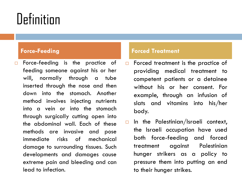## **Definition**

 $\Box$  Force-feeding is the practice of feeding someone against his or her will, normally through a tube inserted through the nose and then down into the stomach. Another method involves injecting nutrients into a vein or into the stomach through surgically cutting open into the abdominal wall. Each of these methods are invasive and pose immediate risks of mechanical damage to surrounding tissues. Such developments and damages cause extreme pain and bleeding and can lead to infection.

- $\Box$  Forced treatment is the practice of providing medical treatment to competent patients or a detainee without his or her consent. For example, through an infusion of slats and vitamins into his/her body.
- $\Box$  In the Palestinian/Israeli context, the Israeli occupation have used both force-feeding and forced treatment against Palestinian hunger strikers as a policy to pressure them into putting an end to their hunger strikes.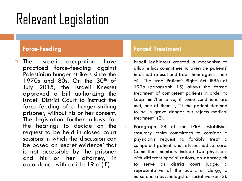## Relevant Legislation

 $\Box$  The Israeli occupation have practiced force-feeding against Palestinian hunger strikers since the 1970s and 80s. On the  $30<sup>th</sup>$  of July 2015, the Israeli Knesset approved a bill authorizing the Israeli District Court to instruct the force-feeding of a hunger-striking prisoner, without his or her consent. The legislation further allows for the hearings to decide on the request to be held in closed court sessions in which the discussion can be based on 'secret evidence' that is not accessible by the prisoner and his or her attorney, in accordance with article 19 d (IE).

- $\Box$  Israeli legislators created a mechanism to allow ethics committees to override patients' informed refusal and treat them against their will. The Israel Patient's Rights Act (IPRA) of 1996 (paragraph 15) allows the forced treatment of competent patients in order to keep him/her alive, if some conditions are met, one of them is, "if the patient deemed to be in grave danger but rejects medical treatment" (2).
- □ Paragraph 24 of the IPRA establishes statutory ethics committees to consider a physician's request to forcibly treat a competent patient who refuses medical care. Committee members include two physicians with different specializations, an attorney fit to serve as district court judge, a representative of the public or clergy, a nurse and a psychologist or social worker (3).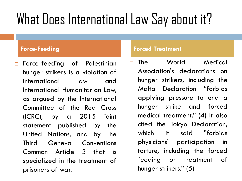# What Does International Law Say about it?

 Force-feeding of Palestinian hunger strikers is a violation of international law and International Humanitarian Law, as argued by the International Committee of the Red Cross (ICRC), by a 2015 joint statement published by the United Nations, and by The Third Geneva Conventions Common Article 3 that is specialized in the treatment of prisoners of war.

### **Force-Feeding Forced Treatment**

n The World Medical Association's declarations on hunger strikers, including the Malta Declaration "forbids applying pressure to end a hunger strike and forced medical treatment." (4) It also cited the Tokyo Declaration, which it said "forbids physicians' participation in torture, including the forced feeding or treatment of hunger strikers." (5)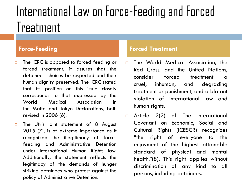### International Law on Force-Feeding and Forced Treatment

- □ The ICRC is opposed to forced feeding or forced treatment; it assures that the detainees' choices be respected and their human dignity preserved. The ICRC stated that its position on this issue closely corresponds to that expressed by the World Medical Association in the Malta and Tokyo Declarations, both revised in 2006 (6).
- $\Box$  The UN's joint statement of 8 August 2015 (7), is of extreme importance as it recognized the illegitimacy of forcefeeding and Administrative Detention under International Human Rights law. Additionally, the statement reflects the legitimacy of the demands of hunger striking detainees who protest against the policy of Administrative Detention.

- The World Medical Association, the Red Cross, and the United Nations, consider forced treatment a cruel, inhuman, and degrading treatment or punishment, and a blatant violation of international law and human rights.
- $\Box$  Article 2(2) of The International Covenant on Economic, Social and Cultural Rights (ICESCR) recognizes "the right of everyone to the enjoyment of the highest attainable standard of physical and mental health."(8), This right applies without discrimination of any kind to all persons, including detainees.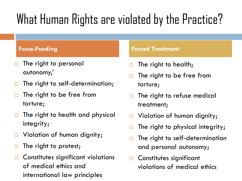### What Human Rights are violated by the Practice?

- $\Box$  The right to personal autonomy,'
- $\Box$  The right to self-determination;
- $\Box$  The right to be free from torture;
- $\Box$  The right to health and physical integrity;
- □ Violation of human dignity;
- $\Box$  The right to protest;
- **D** Constitutes significant violations of medical ethics and international law principles

- $\Box$  The right to health;
- $\Box$  The right to be free from torture;
- $\Box$  The right to refuse medical treatment;
- □ Violation of human dignity;
- $\Box$  The right to physical integrity;
- $\Box$  The right to self-determination and personal autonomy;
- **D** Constitutes significant violations of medical ethics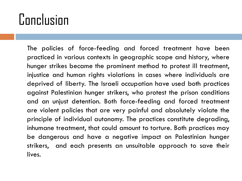## Conclusion

The policies of force-feeding and forced treatment have been practiced in various contexts in geographic scope and history, where hunger strikes became the prominent method to protest ill treatment, injustice and human rights violations in cases where individuals are deprived of liberty. The Israeli occupation have used both practices against Palestinian hunger strikers, who protest the prison conditions and an unjust detention. Both force-feeding and forced treatment are violent policies that are very painful and absolutely violate the principle of individual autonomy. The practices constitute degrading, inhumane treatment, that could amount to torture. Both practices may be dangerous and have a negative impact on Palestinian hunger strikers, and each presents an unsuitable approach to save their lives.